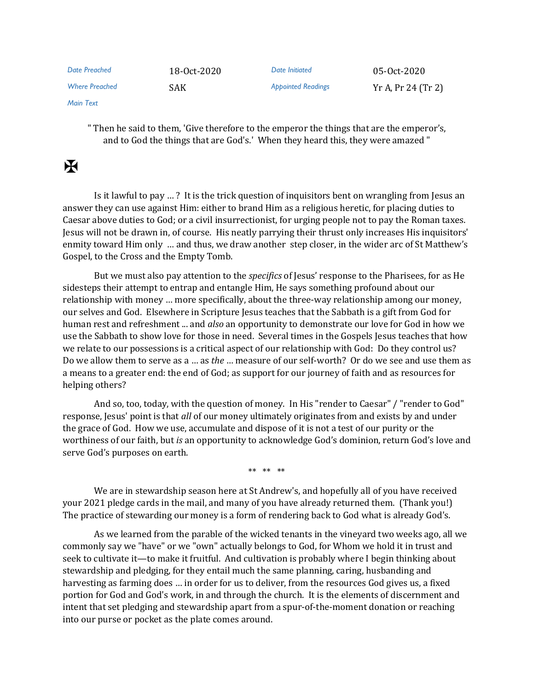| Date Preached         | 18-0ct-2020 | Date Initiated            | 05-0ct-2020        |
|-----------------------|-------------|---------------------------|--------------------|
| <b>Where Preached</b> | <b>SAK</b>  | <b>Appointed Readings</b> | Yr A, Pr 24 (Tr 2) |

*Main Text*

" Then he said to them, 'Give therefore to the emperor the things that are the emperor's, and to God the things that are God's.' When they heard this, they were amazed "

## $\overline{\mathbf{R}}$

Is it lawful to pay … ? It is the trick question of inquisitors bent on wrangling from Jesus an answer they can use against Him: either to brand Him as a religious heretic, for placing duties to Caesar above duties to God; or a civil insurrectionist, for urging people not to pay the Roman taxes. Jesus will not be drawn in, of course. His neatly parrying their thrust only increases His inquisitors' enmity toward Him only … and thus, we draw another step closer, in the wider arc of St Matthew's Gospel, to the Cross and the Empty Tomb.

But we must also pay attention to the *specifics* of Jesus' response to the Pharisees, for as He sidesteps their attempt to entrap and entangle Him, He says something profound about our relationship with money … more specifically, about the three-way relationship among our money, our selves and God. Elsewhere in Scripture Jesus teaches that the Sabbath is a gift from God for human rest and refreshment ... and *also* an opportunity to demonstrate our love for God in how we use the Sabbath to show love for those in need. Several times in the Gospels Jesus teaches that how we relate to our possessions is a critical aspect of our relationship with God: Do they control us? Do we allow them to serve as a … as *the* … measure of our self-worth? Or do we see and use them as a means to a greater end: the end of God; as support for our journey of faith and as resources for helping others?

And so, too, today, with the question of money. In His "render to Caesar" / "render to God" response, Jesus' point is that *all* of our money ultimately originates from and exists by and under the grace of God. How we use, accumulate and dispose of it is not a test of our purity or the worthiness of our faith, but *is* an opportunity to acknowledge God's dominion, return God's love and serve God's purposes on earth.

\*\* \*\* \*\*

We are in stewardship season here at St Andrew's, and hopefully all of you have received your 2021 pledge cards in the mail, and many of you have already returned them. (Thank you!) The practice of stewarding our money is a form of rendering back to God what is already God's.

As we learned from the parable of the wicked tenants in the vineyard two weeks ago, all we commonly say we "have" or we "own" actually belongs to God, for Whom we hold it in trust and seek to cultivate it—to make it fruitful. And cultivation is probably where I begin thinking about stewardship and pledging, for they entail much the same planning, caring, husbanding and harvesting as farming does … in order for us to deliver, from the resources God gives us, a fixed portion for God and God's work, in and through the church. It is the elements of discernment and intent that set pledging and stewardship apart from a spur-of-the-moment donation or reaching into our purse or pocket as the plate comes around.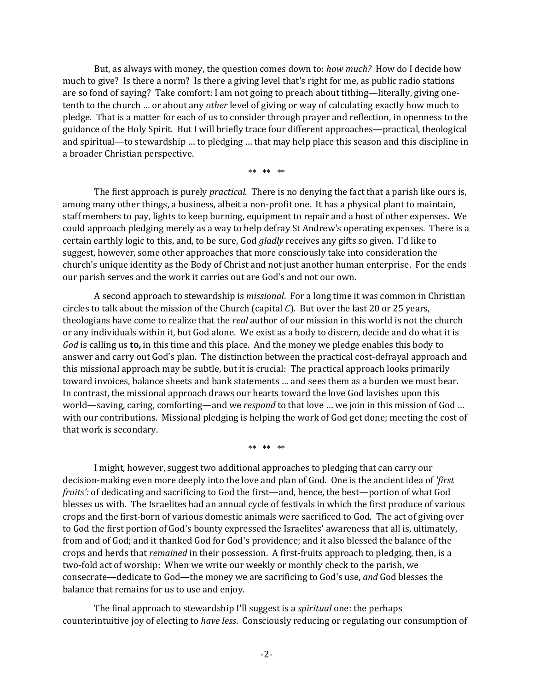But, as always with money, the question comes down to: *how much?* How do I decide how much to give? Is there a norm? Is there a giving level that's right for me, as public radio stations are so fond of saying? Take comfort: I am not going to preach about tithing—literally, giving onetenth to the church … or about any *other* level of giving or way of calculating exactly how much to pledge. That is a matter for each of us to consider through prayer and reflection, in openness to the guidance of the Holy Spirit. But I will briefly trace four different approaches—practical, theological and spiritual—to stewardship … to pledging … that may help place this season and this discipline in a broader Christian perspective.

\*\* \*\* \*\*

The first approach is purely *practical*. There is no denying the fact that a parish like ours is, among many other things, a business, albeit a non-profit one. It has a physical plant to maintain, staff members to pay, lights to keep burning, equipment to repair and a host of other expenses. We could approach pledging merely as a way to help defray St Andrew's operating expenses. There is a certain earthly logic to this, and, to be sure, God *gladly* receives any gifts so given. I'd like to suggest, however, some other approaches that more consciously take into consideration the church's unique identity as the Body of Christ and not just another human enterprise. For the ends our parish serves and the work it carries out are God's and not our own.

A second approach to stewardship is *missional*. For a long time it was common in Christian circles to talk about the mission of the Church (capital *C*). But over the last 20 or 25 years, theologians have come to realize that the *real* author of our mission in this world is not the church or any individuals within it, but God alone. We exist as a body to discern, decide and do what it is *God* is calling us **to,** in this time and this place. And the money we pledge enables this body to answer and carry out God's plan. The distinction between the practical cost-defrayal approach and this missional approach may be subtle, but it is crucial: The practical approach looks primarily toward invoices, balance sheets and bank statements … and sees them as a burden we must bear. In contrast, the missional approach draws our hearts toward the love God lavishes upon this world—saving, caring, comforting—and we *respond* to that love … we join in this mission of God … with our contributions. Missional pledging is helping the work of God get done; meeting the cost of that work is secondary.

\*\* \*\* \*\*

I might, however, suggest two additional approaches to pledging that can carry our decision-making even more deeply into the love and plan of God. One is the ancient idea of *'first fruits':* of dedicating and sacrificing to God the first—and, hence, the best—portion of what God blesses us with. The Israelites had an annual cycle of festivals in which the first produce of various crops and the first-born of various domestic animals were sacrificed to God. The act of giving over to God the first portion of God's bounty expressed the Israelites' awareness that all is, ultimately, from and of God; and it thanked God for God's providence; and it also blessed the balance of the crops and herds that *remained* in their possession. A first-fruits approach to pledging, then, is a two-fold act of worship: When we write our weekly or monthly check to the parish, we consecrate—dedicate to God—the money we are sacrificing to God's use, *and* God blesses the balance that remains for us to use and enjoy.

The final approach to stewardship I'll suggest is a *spiritual* one: the perhaps counterintuitive joy of electing to *have less*. Consciously reducing or regulating our consumption of